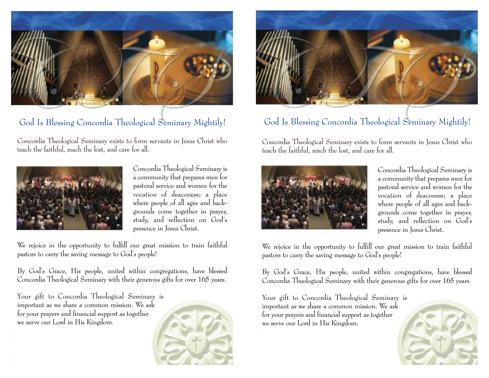

## God Is Blessing Concordia Theological Seminary Mightily!

Concordia Theological Seminary exists to form servants in Jesus Christ who teach the faithful, reach the lost, and care for all.



Concordia Theological Seminary is a community that prepares men for pastoral service and women for the vocation of deaconess; a place where people of all ages and backgrounds come together in prayer, study, and reflection on God's presence in Jesus Christ.

We rejoice in the opportunity to fulfill our great mission to train faithful pastors to carry the saving message to God's people!

By God's Grace, His people, united within congregations, have blessed Concordia Theological Seminary with their generous gifts for over 165 years.

Your gift to Concordia Theological Seminary is important as we share a common mission. We ask for your prayers and financial support as together we serve our Lord in His Kingdom.





## God Is Blessing Concordia Theological Seminary Mightily!

Concordia Theological Seminary exists to form servants in Jesus Christ who teach the faithful, reach the lost, and care for all.



Concordia Theological Seminary is a community that prepares men for pastoral service and women for the vocation of deaconess; a place where people of all ages and backgrounds come together in prayer, study, and reflection on God's presence in Jesus Christ.

We rejoice in the opportunity to fulfill our great mission to train faithful pastors to carry the saving message to God's people!

By God's Grace, His people, united within congregations, have blessed Concordia Theological Seminary with their generous gifts for over 165 years.

Your gift to Concordia Theological Seminary is important as we share a common mission. We ask for your prayers and financial support as together we serve our Lord in His Kingdom.